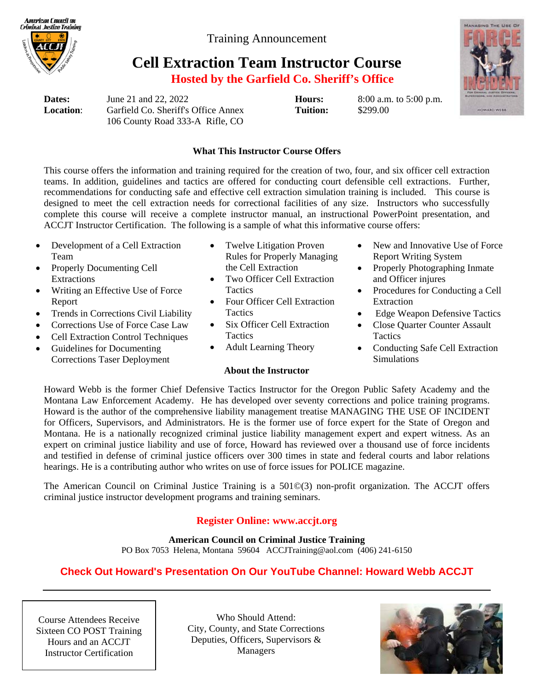American Conncil on **Criminal Justice Training** 

Training Announcement

# **Cell Extraction Team Instructor Course**

**Hosted by the Garfield Co. Sheriff's Office** 

**Dates:** June 21 and 22, 2022 **Hours:** 8:00 a.m. to 5:00 p.m. **Location**: Garfield Co. Sheriff's Office Annex **Tuition:** \$299.00 106 County Road 333-A Rifle, CO



### **What This Instructor Course Offers**

This course offers the information and training required for the creation of two, four, and six officer cell extraction teams. In addition, guidelines and tactics are offered for conducting court defensible cell extractions. Further, recommendations for conducting safe and effective cell extraction simulation training is included. This course is designed to meet the cell extraction needs for correctional facilities of any size. Instructors who successfully complete this course will receive a complete instructor manual, an instructional PowerPoint presentation, and ACCJT Instructor Certification. The following is a sample of what this informative course offers:

- Development of a Cell Extraction Team
- Properly Documenting Cell Extractions
- Writing an Effective Use of Force Report
- Trends in Corrections Civil Liability
- Corrections Use of Force Case Law
- Cell Extraction Control Techniques
- Guidelines for Documenting Corrections Taser Deployment
- Twelve Litigation Proven Rules for Properly Managing the Cell Extraction
- Two Officer Cell Extraction **Tactics**
- Four Officer Cell Extraction **Tactics**
- Six Officer Cell Extraction **Tactics**
- Adult Learning Theory

#### **About the Instructor**

- New and Innovative Use of Force Report Writing System
- Properly Photographing Inmate and Officer injures
- Procedures for Conducting a Cell Extraction
- Edge Weapon Defensive Tactics
- Close Quarter Counter Assault **Tactics**
- Conducting Safe Cell Extraction Simulations

Howard Webb is the former Chief Defensive Tactics Instructor for the Oregon Public Safety Academy and the Montana Law Enforcement Academy. He has developed over seventy corrections and police training programs. Howard is the author of the comprehensive liability management treatise MANAGING THE USE OF INCIDENT for Officers, Supervisors, and Administrators. He is the former use of force expert for the State of Oregon and Montana. He is a nationally recognized criminal justice liability management expert and expert witness. As an expert on criminal justice liability and use of force, Howard has reviewed over a thousand use of force incidents and testified in defense of criminal justice officers over 300 times in state and federal courts and labor relations hearings. He is a contributing author who writes on use of force issues for POLICE magazine.

The American Council on Criminal Justice Training is a 501©(3) non-profit organization. The ACCJT offers criminal justice instructor development programs and training seminars.

## **Register Online: www.accjt.org**

**American Council on Criminal Justice Training** 

PO Box 7053 Helena, Montana 59604 ACCJTraining@aol.com (406) 241-6150

# **Check Out Howard's Presentation On Our YouTube Channel: Howard Webb ACCJT**

Course Attendees Receive Sixteen CO POST Training Hours and an ACCJT Instructor Certification

Who Should Attend: City, County, and State Corrections Deputies, Officers, Supervisors & Managers

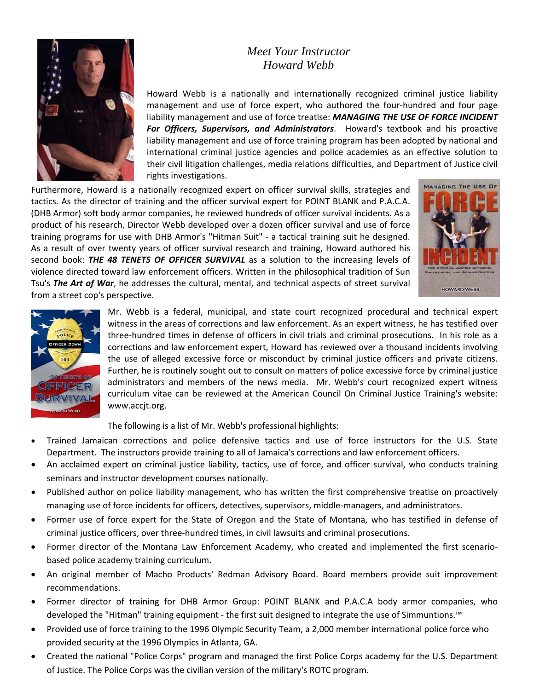## *Meet Your Instructor Howard Webb*



Howard Webb is a nationally and internationally recognized criminal justice liability management and use of force expert, who authored the four-hundred and four page liability management and use of force treatise: *MANAGING THE USE OF FORCE INCIDENT For Officers, Supervisors, and Administrators*. Howard's textbook and his proactive liability management and use of force training program has been adopted by national and international criminal justice agencies and police academies as an effective solution to their civil litigation challenges, media relations difficulties, and Department of Justice civil rights investigations.

Furthermore, Howard is a nationally recognized expert on officer survival skills, strategies and tactics. As the director of training and the officer survival expert for POINT BLANK and P.A.C.A. (DHB Armor) soft body armor companies, he reviewed hundreds of officer survival incidents. As a product of his research, Director Webb developed over a dozen officer survival and use of force training programs for use with DHB Armor's "Hitman Suit" ‐ a tactical training suit he designed. As a result of over twenty years of officer survival research and training, Howard authored his second book: *THE 48 TENETS OF OFFICER SURVIVAL* as a solution to the increasing levels of violence directed toward law enforcement officers. Written in the philosophical tradition of Sun Tsu's *The Art of War*, he addresses the cultural, mental, and technical aspects of street survival from a street cop's perspective.





Mr. Webb is a federal, municipal, and state court recognized procedural and technical expert witness in the areas of corrections and law enforcement. As an expert witness, he has testified over three‐hundred times in defense of officers in civil trials and criminal prosecutions. In his role as a corrections and law enforcement expert, Howard has reviewed over a thousand incidents involving the use of alleged excessive force or misconduct by criminal justice officers and private citizens. Further, he is routinely sought out to consult on matters of police excessive force by criminal justice administrators and members of the news media. Mr. Webb's court recognized expert witness curriculum vitae can be reviewed at the American Council On Criminal Justice Training's website: www.accjt.org.

The following is a list of Mr. Webb's professional highlights:

- Trained Jamaican corrections and police defensive tactics and use of force instructors for the U.S. State Department. The instructors provide training to all of Jamaica's corrections and law enforcement officers.
- An acclaimed expert on criminal justice liability, tactics, use of force, and officer survival, who conducts training seminars and instructor development courses nationally.
- Published author on police liability management, who has written the first comprehensive treatise on proactively managing use of force incidents for officers, detectives, supervisors, middle‐managers, and administrators.
- Former use of force expert for the State of Oregon and the State of Montana, who has testified in defense of criminal justice officers, over three‐hundred times, in civil lawsuits and criminal prosecutions.
- Former director of the Montana Law Enforcement Academy, who created and implemented the first scenario‐ based police academy training curriculum.
- An original member of Macho Products' Redman Advisory Board. Board members provide suit improvement recommendations.
- Former director of training for DHB Armor Group: POINT BLANK and P.A.C.A body armor companies, who developed the "Hitman" training equipment ‐ the first suit designed to integrate the use of Simmuntions.™
- Provided use of force training to the 1996 Olympic Security Team, a 2,000 member international police force who provided security at the 1996 Olympics in Atlanta, GA.
- Created the national "Police Corps" program and managed the first Police Corps academy for the U.S. Department of Justice. The Police Corps was the civilian version of the military's ROTC program.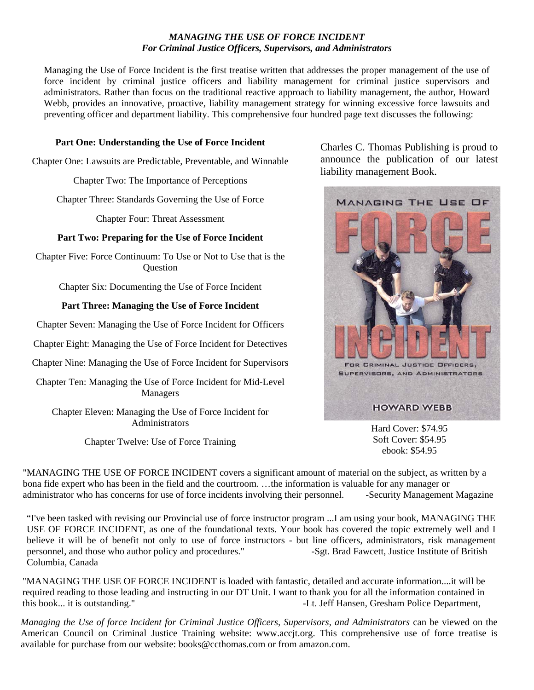#### *MANAGING THE USE OF FORCE INCIDENT For Criminal Justice Officers, Supervisors, and Administrators*

Managing the Use of Force Incident is the first treatise written that addresses the proper management of the use of force incident by criminal justice officers and liability management for criminal justice supervisors and administrators. Rather than focus on the traditional reactive approach to liability management, the author, Howard Webb, provides an innovative, proactive, liability management strategy for winning excessive force lawsuits and preventing officer and department liability. This comprehensive four hundred page text discusses the following:

#### **Part One: Understanding the Use of Force Incident**

Chapter One: Lawsuits are Predictable, Preventable, and Winnable

Chapter Two: The Importance of Perceptions

Chapter Three: Standards Governing the Use of Force

Chapter Four: Threat Assessment

#### **Part Two: Preparing for the Use of Force Incident**

Chapter Five: Force Continuum: To Use or Not to Use that is the **Ouestion** 

Chapter Six: Documenting the Use of Force Incident

#### **Part Three: Managing the Use of Force Incident**

Chapter Seven: Managing the Use of Force Incident for Officers

Chapter Eight: Managing the Use of Force Incident for Detectives

Chapter Nine: Managing the Use of Force Incident for Supervisors

Chapter Ten: Managing the Use of Force Incident for Mid-Level Managers

Chapter Eleven: Managing the Use of Force Incident for Administrators

Chapter Twelve: Use of Force Training

Charles C. Thomas Publishing is proud to announce the publication of our latest liability management Book.



Hard Cover: \$74.95 Soft Cover: \$54.95 ebook: \$54.95

"MANAGING THE USE OF FORCE INCIDENT covers a significant amount of material on the subject, as written by a bona fide expert who has been in the field and the courtroom. …the information is valuable for any manager or administrator who has concerns for use of force incidents involving their personnel. -Security Management Magazine

"I've been tasked with revising our Provincial use of force instructor program ...I am using your book, MANAGING THE USE OF FORCE INCIDENT, as one of the foundational texts. Your book has covered the topic extremely well and I believe it will be of benefit not only to use of force instructors - but line officers, administrators, risk management personnel, and those who author policy and procedures." -Sgt. Brad Fawcett, Justice Institute of British Columbia, Canada

"MANAGING THE USE OF FORCE INCIDENT is loaded with fantastic, detailed and accurate information....it will be required reading to those leading and instructing in our DT Unit. I want to thank you for all the information contained in this book... it is outstanding." The same of the set of the set of the set of the set of the set of the set of the set of the set of the set of the set of the set of the set of the set of the set of the set of the set of t

*Managing the Use of force Incident for Criminal Justice Officers, Supervisors, and Administrators* can be viewed on the American Council on Criminal Justice Training website: www.accjt.org. This comprehensive use of force treatise is available for purchase from our website: books@ccthomas.com or from amazon.com.